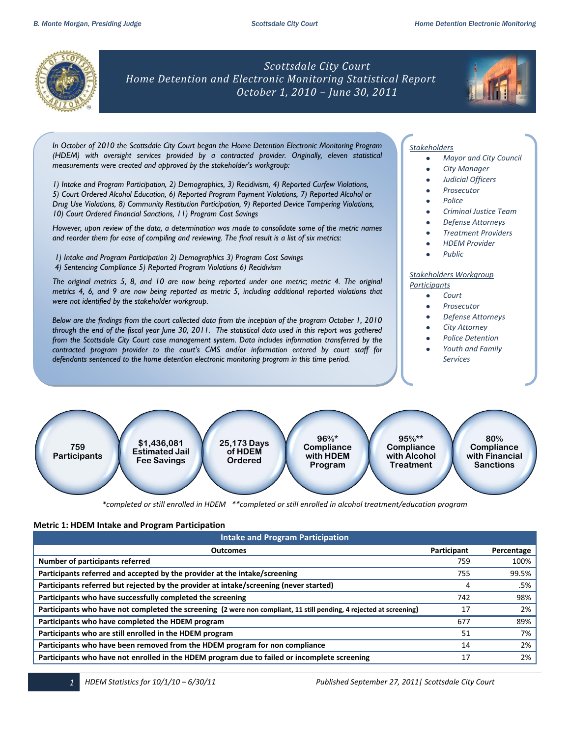

*Scottsdale City Court Home Detention and Electronic Monitoring Statistical Report October 1, 2010 – June 30, 2011*



*In October of 2010 the Scottsdale City Court began the Home Detention Electronic Monitoring Program (HDEM) with oversight services provided by a contracted provider. Originally, eleven statistical measurements were created and approved by the stakeholder's workgroup:* 

*1) Intake and Program Participation, 2) Demographics, 3) Recidivism, 4) Reported Curfew Violations, 5) Court Ordered Alcohol Education, 6) Reported Program Payment Violations, 7) Reported Alcohol or Drug Use Violations, 8) Community Restitution Participation, 9) Reported Device Tampering Violations, 10) Court Ordered Financial Sanctions, 11) Program Cost Savings* 

*However, upon review of the data, a determination was made to consolidate some of the metric names and reorder them for ease of compiling and reviewing. The final result is a list of six metrics:*

*1) Intake and Program Participation 2) Demographics 3) Program Cost Savings 4) Sentencing Compliance 5) Reported Program Violations 6) Recidivism* 

*The original metrics 5, 8, and 10 are now being reported under one metric; metric 4. The original metrics 4, 6, and 9 are now being reported as metric 5, including additional reported violations that were not identified by the stakeholder workgroup.*

*Below are the findings from the court collected data from the inception of the program October 1, 2010 through the end of the fiscal year June 30, 2011. The statistical data used in this report was gathered from the Scottsdale City Court case management system. Data includes information transferred by the contracted program provider to the court's CMS and/or information entered by court staff for defendants sentenced to the home detention electronic monitoring program in this time period.*

## *Stakeholders*

- *Mayor and City Council*
- *City Manager*
- *Judicial Officers*
- *Prosecutor*
- *Police*
- *Criminal Justice Team*
- *Defense Attorneys*
- *Treatment Providers*
- *HDEM Provider*
- *Public*

#### *Stakeholders Workgroup Participants*

- *Court*  $\bullet$ 
	- *Prosecutor*
	- *Defense Attorneys*
	- *City Attorney*
	- *Police Detention*
	- *Youth and Family Services*



# **Metric 1: HDEM Intake and Program Participation**

| <b>Intake and Program Participation</b>                                                                             |             |            |  |  |  |  |  |
|---------------------------------------------------------------------------------------------------------------------|-------------|------------|--|--|--|--|--|
| <b>Outcomes</b>                                                                                                     | Participant | Percentage |  |  |  |  |  |
| Number of participants referred                                                                                     | 759         | 100%       |  |  |  |  |  |
| Participants referred and accepted by the provider at the intake/screening                                          | 755         | 99.5%      |  |  |  |  |  |
| Participants referred but rejected by the provider at intake/screening (never started)                              | 4           | .5%        |  |  |  |  |  |
| Participants who have successfully completed the screening                                                          | 742         | 98%        |  |  |  |  |  |
| Participants who have not completed the screening (2 were non compliant, 11 still pending, 4 rejected at screening) | 17          | 2%         |  |  |  |  |  |
| Participants who have completed the HDEM program                                                                    | 677         | 89%        |  |  |  |  |  |
| Participants who are still enrolled in the HDEM program                                                             | 51          | 7%         |  |  |  |  |  |
| Participants who have been removed from the HDEM program for non compliance                                         | 14          | 2%         |  |  |  |  |  |
| Participants who have not enrolled in the HDEM program due to failed or incomplete screening                        | 17          | 2%         |  |  |  |  |  |

*1 HDEM Statistics for 10/1/10 – 6/30/11 Published September 27, 2011| Scottsdale City Court*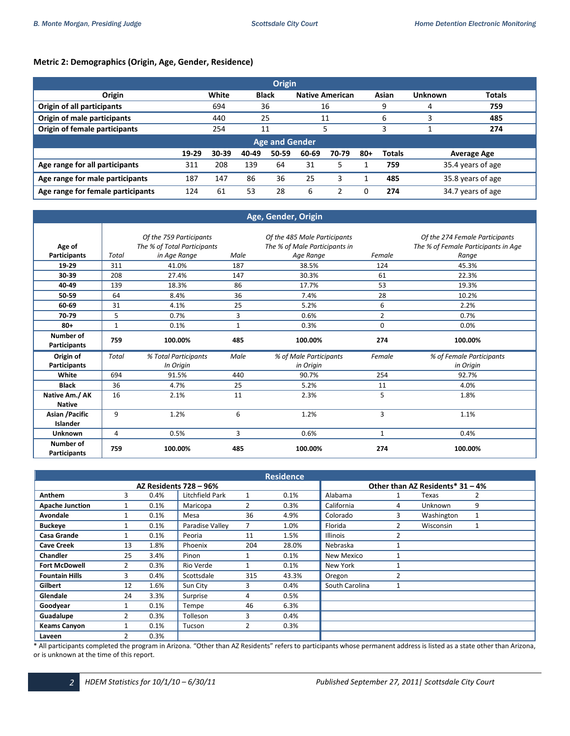# **Metric 2: Demographics (Origin, Age, Gender, Residence)**

| <b>Origin</b>                     |       |           |              |       |       |                        |       |               |                    |                   |  |
|-----------------------------------|-------|-----------|--------------|-------|-------|------------------------|-------|---------------|--------------------|-------------------|--|
| Origin                            |       | White     | <b>Black</b> |       |       | <b>Native American</b> |       | Asian         | <b>Unknown</b>     | <b>Totals</b>     |  |
| Origin of all participants        |       | 694       | 36           |       |       | 16                     |       | 9             | 4                  | 759               |  |
| Origin of male participants       |       | 440       | 25           |       |       | 11                     |       | 6             |                    | 485               |  |
| Origin of female participants     |       | 254       | 11           |       |       |                        |       | 3             |                    | 274               |  |
| <b>Age and Gender</b>             |       |           |              |       |       |                        |       |               |                    |                   |  |
|                                   | 19-29 | $30 - 39$ | 40-49        | 50-59 | 60-69 | 70-79                  | $80+$ | <b>Totals</b> | <b>Average Age</b> |                   |  |
| Age range for all participants    | 311   | 208       | 139          | 64    | 31    | 5                      |       | 759           |                    | 35.4 years of age |  |
| Age range for male participants   | 187   | 147       | 86           | 36    | 25    | 3                      |       | 485           | 35.8 years of age  |                   |  |
| Age range for female participants | 124   | 61        | 53           | 28    | 6     | ว                      |       | 274           |                    | 34.7 years of age |  |

## **Age, Gender, Origin**

|                                  | Of the 759 Participants |                             | Of the 485 Male Participants |                               | Of the 274 Female Participants |                                     |
|----------------------------------|-------------------------|-----------------------------|------------------------------|-------------------------------|--------------------------------|-------------------------------------|
| Age of                           |                         | The % of Total Participants |                              | The % of Male Participants in |                                | The % of Female Participants in Age |
| Participants                     | Total                   | in Age Range                | Male                         | Age Range                     | Female                         | Range                               |
| 19-29                            | 311                     | 41.0%                       | 187                          | 38.5%                         | 124                            | 45.3%                               |
| 30-39                            | 208                     | 27.4%                       | 147                          | 30.3%                         | 61                             | 22.3%                               |
| 40-49                            | 139                     | 18.3%                       | 86                           | 17.7%                         | 53                             | 19.3%                               |
| 50-59                            | 64                      | 8.4%                        | 36                           | 7.4%                          | 28                             | 10.2%                               |
| 60-69                            | 31                      | 4.1%                        | 25                           | 5.2%                          | 6                              | 2.2%                                |
| 70-79                            | 5                       | 0.7%                        | 3                            | 0.6%                          | $\overline{2}$                 | 0.7%                                |
| $80 +$                           | $\mathbf{1}$            | 0.1%                        | $\mathbf{1}$                 | 0.3%                          | $\mathbf 0$                    | 0.0%                                |
| Number of<br><b>Participants</b> | 759                     | 100.00%                     | 485                          | 100.00%                       | 274                            | 100.00%                             |
| Origin of                        | <b>Total</b>            | % Total Participants        | Male                         | % of Male Participants        | Female                         | % of Female Participants            |
|                                  |                         |                             |                              |                               |                                |                                     |
| Participants                     |                         | In Origin                   |                              | in Origin                     |                                | in Origin                           |
| White                            | 694                     | 91.5%                       | 440                          | 90.7%                         | 254                            | 92.7%                               |
| <b>Black</b>                     | 36                      | 4.7%                        | 25                           | 5.2%                          | 11                             | 4.0%                                |
| Native Am./ AK                   | 16                      | 2.1%                        | 11                           | 2.3%                          | 5                              | 1.8%                                |
| <b>Native</b>                    |                         |                             |                              |                               |                                |                                     |
| Asian / Pacific<br>Islander      | 9                       | 1.2%                        | 6                            | 1.2%                          | 3                              | 1.1%                                |
| <b>Unknown</b>                   | 4                       | 0.5%                        | 3                            | 0.6%                          | 1                              | 0.4%                                |

| <b>Residence</b>              |    |      |                 |     |       |                 |   |                                  |              |
|-------------------------------|----|------|-----------------|-----|-------|-----------------|---|----------------------------------|--------------|
| <b>AZ Residents 728 - 96%</b> |    |      |                 |     |       |                 |   | Other than AZ Residents* 31 - 4% |              |
| <b>Anthem</b>                 | 3  | 0.4% | Litchfield Park | 1   | 0.1%  | Alabama         | 1 | Texas                            | 2            |
| <b>Apache Junction</b>        |    | 0.1% | Maricopa        | 2   | 0.3%  | California      | 4 | <b>Unknown</b>                   | 9            |
| Avondale                      |    | 0.1% | Mesa            | 36  | 4.9%  | Colorado        | 3 | Washington                       | $\mathbf{1}$ |
| <b>Buckeye</b>                |    | 0.1% | Paradise Valley | 7   | 1.0%  | Florida         | 2 | Wisconsin                        | 1            |
| Casa Grande                   |    | 0.1% | Peoria          | 11  | 1.5%  | <b>Illinois</b> | 2 |                                  |              |
| <b>Cave Creek</b>             | 13 | 1.8% | Phoenix         | 204 | 28.0% | Nebraska        |   |                                  |              |
| <b>Chandler</b>               | 25 | 3.4% | Pinon           |     | 0.1%  | New Mexico      |   |                                  |              |
| <b>Fort McDowell</b>          | 2  | 0.3% | Rio Verde       |     | 0.1%  | New York        |   |                                  |              |
| <b>Fountain Hills</b>         | 3  | 0.4% | Scottsdale      | 315 | 43.3% | Oregon          | 2 |                                  |              |
| Gilbert                       | 12 | 1.6% | Sun City        | 3   | 0.4%  | South Carolina  |   |                                  |              |
| Glendale                      | 24 | 3.3% | Surprise        | 4   | 0.5%  |                 |   |                                  |              |
| Goodyear                      |    | 0.1% | Tempe           | 46  | 6.3%  |                 |   |                                  |              |
| Guadalupe                     |    | 0.3% | Tolleson        | 3   | 0.4%  |                 |   |                                  |              |
| <b>Keams Canyon</b>           |    | 0.1% | Tucson          | 2   | 0.3%  |                 |   |                                  |              |
| Laveen                        | 2  | 0.3% |                 |     |       |                 |   |                                  |              |

\* All participants completed the program in Arizona. "Other than AZ Residents" refers to participants whose permanent address is listed as a state other than Arizona, or is unknown at the time of this report.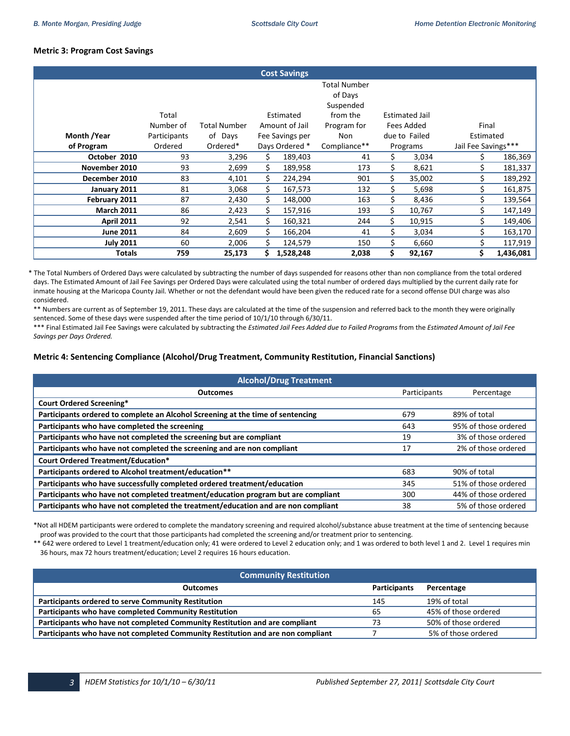# **Metric 3: Program Cost Savings**

|                   |                    |                     |    | <b>Cost Savings</b>         |                                                                        |    |                                     |                     |           |
|-------------------|--------------------|---------------------|----|-----------------------------|------------------------------------------------------------------------|----|-------------------------------------|---------------------|-----------|
|                   | Total<br>Number of | <b>Total Number</b> |    | Estimated<br>Amount of Jail | <b>Total Number</b><br>of Days<br>Suspended<br>from the<br>Program for |    | <b>Estimated Jail</b><br>Fees Added | Final               |           |
| Month /Year       | Participants       | of Days             |    | Fee Savings per             | <b>Non</b>                                                             |    | due to Failed                       | Estimated           |           |
| of Program        | Ordered            | Ordered*            |    | Days Ordered *              | Compliance**                                                           |    | Programs                            | Jail Fee Savings*** |           |
| October 2010      | 93                 | 3,296               | Ś. | 189,403                     | 41                                                                     | Ś. | 3,034                               | Ś.                  | 186,369   |
| November 2010     | 93                 | 2,699               | \$ | 189,958                     | 173                                                                    | Ś. | 8,621                               | Ś.                  | 181,337   |
| December 2010     | 83                 | 4,101               | Ś. | 224,294                     | 901                                                                    | \$ | 35,002                              | Ś.                  | 189,292   |
| January 2011      | 81                 | 3,068               | Ś. | 167,573                     | 132                                                                    |    | 5,698                               |                     | 161,875   |
| February 2011     | 87                 | 2,430               |    | 148,000                     | 163                                                                    |    | 8,436                               |                     | 139,564   |
| <b>March 2011</b> | 86                 | 2,423               | Ś. | 157,916                     | 193                                                                    | \$ | 10,767                              |                     | 147,149   |
| <b>April 2011</b> | 92                 | 2,541               | \$ | 160,321                     | 244                                                                    | \$ | 10,915                              |                     | 149,406   |
| <b>June 2011</b>  | 84                 | 2,609               | \$ | 166,204                     | 41                                                                     | \$ | 3,034                               |                     | 163,170   |
| <b>July 2011</b>  | 60                 | 2,006               | Ś. | 124,579                     | 150                                                                    | Ś. | 6,660                               |                     | 117,919   |
| <b>Totals</b>     | 759                | 25,173              |    | 1,528,248                   | 2,038                                                                  | Ś. | 92,167                              | \$                  | 1,436,081 |

\* The Total Numbers of Ordered Days were calculated by subtracting the number of days suspended for reasons other than non compliance from the total ordered days. The Estimated Amount of Jail Fee Savings per Ordered Days were calculated using the total number of ordered days multiplied by the current daily rate for inmate housing at the Maricopa County Jail. Whether or not the defendant would have been given the reduced rate for a second offense DUI charge was also considered.

\*\* Numbers are current as of September 19, 2011. These days are calculated at the time of the suspension and referred back to the month they were originally sentenced. Some of these days were suspended after the time period of 10/1/10 through 6/30/11.

 \*\*\* Final Estimated Jail Fee Savings were calculated by subtracting the *Estimated Jail Fees Added due to Failed Programs* from the *Estimated Amount of Jail Fee Savings per Days Ordered.*

## **Metric 4: Sentencing Compliance (Alcohol/Drug Treatment, Community Restitution, Financial Sanctions)**

| <b>Alcohol/Drug Treatment</b>                                                     |              |                      |  |  |  |  |  |
|-----------------------------------------------------------------------------------|--------------|----------------------|--|--|--|--|--|
| <b>Outcomes</b>                                                                   | Participants | Percentage           |  |  |  |  |  |
| <b>Court Ordered Screening*</b>                                                   |              |                      |  |  |  |  |  |
| Participants ordered to complete an Alcohol Screening at the time of sentencing   | 679          | 89% of total         |  |  |  |  |  |
| Participants who have completed the screening                                     | 643          | 95% of those ordered |  |  |  |  |  |
| Participants who have not completed the screening but are compliant               | 19           | 3% of those ordered  |  |  |  |  |  |
| Participants who have not completed the screening and are non compliant           | 17           | 2% of those ordered  |  |  |  |  |  |
| <b>Court Ordered Treatment/Education*</b>                                         |              |                      |  |  |  |  |  |
| Participants ordered to Alcohol treatment/education**                             | 683          | 90% of total         |  |  |  |  |  |
| Participants who have successfully completed ordered treatment/education          | 345          | 51% of those ordered |  |  |  |  |  |
| Participants who have not completed treatment/education program but are compliant | 300          | 44% of those ordered |  |  |  |  |  |
| Participants who have not completed the treatment/education and are non compliant | 38           | 5% of those ordered  |  |  |  |  |  |

\*Not all HDEM participants were ordered to complete the mandatory screening and required alcohol/substance abuse treatment at the time of sentencing because proof was provided to the court that those participants had completed the screening and/or treatment prior to sentencing.

\*\* 642 were ordered to Level 1 treatment/education only; 41 were ordered to Level 2 education only; and 1 was ordered to both level 1 and 2. Level 1 requires min 36 hours, max 72 hours treatment/education; Level 2 requires 16 hours education.

| <b>Community Restitution</b>                                                    |                     |                      |  |  |  |  |
|---------------------------------------------------------------------------------|---------------------|----------------------|--|--|--|--|
| <b>Outcomes</b>                                                                 | <b>Participants</b> | Percentage           |  |  |  |  |
| <b>Participants ordered to serve Community Restitution</b>                      | 145                 | 19% of total         |  |  |  |  |
| Participants who have completed Community Restitution                           | 65                  | 45% of those ordered |  |  |  |  |
| Participants who have not completed Community Restitution and are compliant     |                     | 50% of those ordered |  |  |  |  |
| Participants who have not completed Community Restitution and are non compliant |                     | 5% of those ordered  |  |  |  |  |